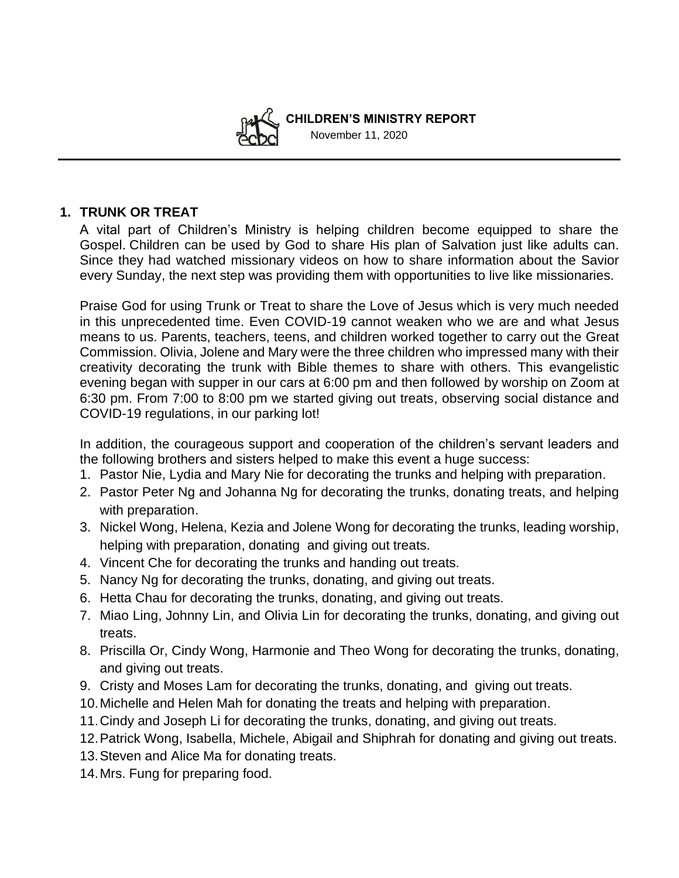

 **CHILDREN'S MINISTRY REPORT**  November 11, 2020

## **1. TRUNK OR TREAT**

A vital part of Children's Ministry is helping children become equipped to share the Gospel. Children can be used by God to share His plan of Salvation just like adults can. Since they had watched missionary videos on how to share information about the Savior every Sunday, the next step was providing them with opportunities to live like missionaries.

Praise God for using Trunk or Treat to share the Love of Jesus which is very much needed in this unprecedented time. Even COVID-19 cannot weaken who we are and what Jesus means to us. Parents, teachers, teens, and children worked together to carry out the Great Commission. Olivia, Jolene and Mary were the three children who impressed many with their creativity decorating the trunk with Bible themes to share with others. This evangelistic evening began with supper in our cars at 6:00 pm and then followed by worship on Zoom at 6:30 pm. From 7:00 to 8:00 pm we started giving out treats, observing social distance and COVID-19 regulations, in our parking lot!

In addition, the courageous support and cooperation of the children's servant leaders and the following brothers and sisters helped to make this event a huge success:

- 1. Pastor Nie, Lydia and Mary Nie for decorating the trunks and helping with preparation.
- 2. Pastor Peter Ng and Johanna Ng for decorating the trunks, donating treats, and helping with preparation.
- 3. Nickel Wong, Helena, Kezia and Jolene Wong for decorating the trunks, leading worship, helping with preparation, donating and giving out treats.
- 4. Vincent Che for decorating the trunks and handing out treats.
- 5. Nancy Ng for decorating the trunks, donating, and giving out treats.
- 6. Hetta Chau for decorating the trunks, donating, and giving out treats.
- 7. Miao Ling, Johnny Lin, and Olivia Lin for decorating the trunks, donating, and giving out treats.
- 8. Priscilla Or, Cindy Wong, Harmonie and Theo Wong for decorating the trunks, donating, and giving out treats.
- 9. Cristy and Moses Lam for decorating the trunks, donating, and giving out treats.
- 10.Michelle and Helen Mah for donating the treats and helping with preparation.
- 11.Cindy and Joseph Li for decorating the trunks, donating, and giving out treats.
- 12.Patrick Wong, Isabella, Michele, Abigail and Shiphrah for donating and giving out treats.
- 13.Steven and Alice Ma for donating treats.
- 14.Mrs. Fung for preparing food.